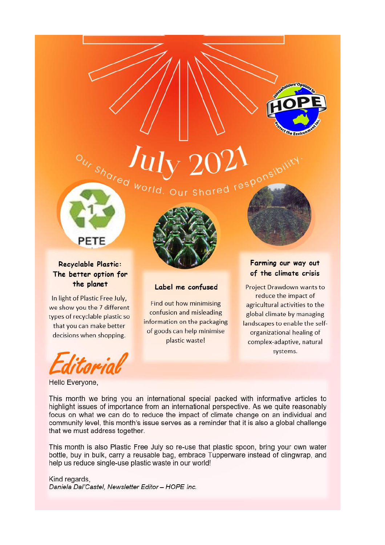



# Recyclable Plastic: The better option for the planet

PETE

In light of Plastic Free July, we show you the 7 different types of recyclable plastic so that you can make better decisions when shopping.



#### Hello Everyone,



# Label me confused

Find out how minimising confusion and misleading information on the packaging of goods can help minimise plastic waste!

# Farming our way out of the climate crisis

Project Drawdown wants to reduce the impact of agricultural activities to the global climate by managing landscapes to enable the selforganizational healing of complex-adaptive, natural systems.

This month we bring you an international special packed with informative articles to highlight issues of importance from an international perspective. As we quite reasonably focus on what we can do to reduce the impact of climate change on an individual and community level, this month's issue serves as a reminder that it is also a global challenge that we must address together.

This month is also Plastic Free July so re-use that plastic spoon, bring your own water bottle, buy in bulk, carry a reusable bag, embrace Tupperware instead of clingwrap, and help us reduce single-use plastic waste in our world!

# Kind regards,

Daniela Dal'Castel, Newsletter Editor - HOPE Inc.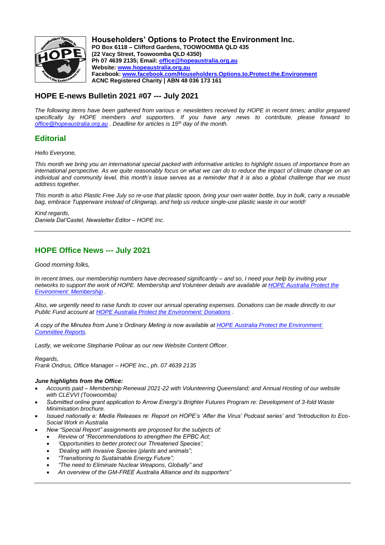

**Householders' Options to Protect the Environment Inc. PO Box 6118 – Clifford Gardens, TOOWOOMBA QLD 435 (22 Vacy Street, Toowoomba QLD 4350) Ph 07 4639 2135; Email: [office@hopeaustralia.org.au](about:blank) Website: [www.hopeaustralia.org.au](about:blank) Facebook: [www.facebook.com/Householders.Options.to.Protect.the.Environment](about:blank) ACNC Registered Charity | ABN 48 036 173 161**

# **HOPE E-news Bulletin 2021 #07 --- July 2021**

*The following items have been gathered from various e: newsletters received by HOPE in recent times; and/or prepared specifically by HOPE members and supporters. If you have any news to contribute, please forward to [office@hopeaustralia.org.au](about:blank) . Deadline for articles is 15th day of the month.*

# **Editorial**

*Hello Everyone,*

*This month we bring you an international special packed with informative articles to highlight issues of importance from an international perspective. As we quite reasonably focus on what we can do to reduce the impact of climate change on an individual and community level, this month's issue serves as a reminder that it is also a global challenge that we must address together.*

*This month is also Plastic Free July so re-use that plastic spoon, bring your own water bottle, buy in bulk, carry a reusable bag, embrace Tupperware instead of clingwrap, and help us reduce single-use plastic waste in our world!*

*Kind regards, Daniela Dal'Castel, Newsletter Editor – HOPE Inc.*

# **HOPE Office News --- July 2021**

*Good morning folks,*

*In recent times, our membership numbers have decreased significantly – and so, I need your help by inviting your networks to support the work of HOPE. Membership and Volunteer details are available a[t HOPE Australia Protect the](http://www.hopeaustralia.org.au/membership/)  [Environment: Membership](http://www.hopeaustralia.org.au/membership/) .*

*Also, we urgently need to raise funds to cover our annual operating expenses. Donations can be made directly to our Public Fund account at [HOPE Australia Protect the Environment: Donations](http://www.hopeaustralia.org.au/donations/) .*

*A copy of the Minutes from June's Ordinary Meting is now available a[t HOPE Australia Protect the Environment:](http://www.hopeaustralia.org.au/home/committee-reports/)  [Committee Reports.](http://www.hopeaustralia.org.au/home/committee-reports/)*

*Lastly, we welcome Stephanie Polinar as our new Website Content Officer.*

*Regards,*

*Frank Ondrus, Office Manager – HOPE Inc., ph. 07 4639 2135*

## *June highlights from the Office:*

- *Accounts paid – Membership Renewal 2021-22 with Volunteering Queensland; and Annual Hosting of our website with CLEVVI (Toowoomba)*
- *Submitted online grant application to Arrow Energy's Brighter Futures Program re: Development of 3-fold Waste Minimisation brochure.*
- *Issued nationally e: Media Releases re: Report on HOPE's 'After the Virus' Podcast series' and "Introduction to Eco-Social Work in Australia*
	- *New "Special Report" assignments are proposed for the subjects of:*
		- *Review of "Recommendations to strengthen the EPBC Act;*
		- *'Opportunities to better protect our Threatened Species';*
		- *'Dealing with Invasive Species (plants and animals";*
		- *"Transitioning to Sustainable Energy Future";*
		- *"The need to Eliminate Nuclear Weapons, Globally" and*
		- *An overview of the GM-FREE Australia Alliance and its supporters"*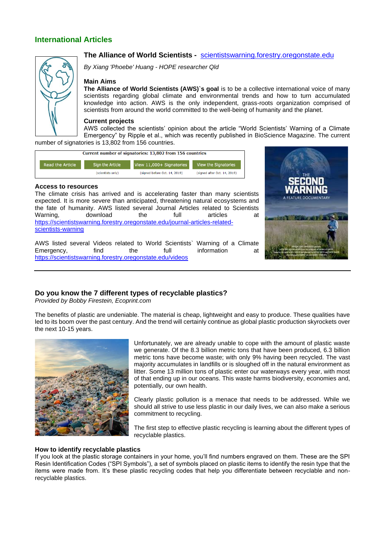# **International Articles**



# **The Alliance of World Scientists -** [scientistswarning.forestry.oregonstate.edu](about:blank)

*By Xiang 'Phoebe' Huang - HOPE researcher Qld*

#### **Main Aims**

**The Alliance of World Scientists (AWS)`s goal** is to be a collective international voice of many scientists regarding global climate and environmental trends and how to turn accumulated knowledge into action. AWS is the only independent, grass-roots organization comprised of scientists from around the world committed to the well-being of humanity and the planet.

#### **Current projects**

AWS collected the scientists' opinion about the article "World Scientists' Warning of a Climate Emergency" by Ripple et al., which was recently published in BioScience Magazine. The current number of signatories is 13,802 from 156 countries.

Current number of signatories: 13,802 from 156 countries



#### **Access to resources**

The climate crisis has arrived and is accelerating faster than many scientists expected. It is more severe than anticipated, threatening natural ecosystems and the fate of humanity. AWS listed several Journal Articles related to Scientists<br>Warning, download the full articles at Warning, download the full articles at [https://scientistswarning.forestry.oregonstate.edu/journal-articles-related](about:blank)[scientists-warning](about:blank)



AWS listed several Videos related to World Scientists` Warning of a Climate<br>Emergency, find the full information at Emergency, [https://scientistswarning.forestry.oregonstate.edu/videos](about:blank)

# **Do you know the 7 different types of recyclable plastics?**

*Provided by Bobby Firestein, Ecoprint.com*

The benefits of plastic are undeniable. The material is cheap, lightweight and easy to produce. These qualities have led to its boom over the past century. And the trend will certainly continue as global plastic production skyrockets over the next 10-15 years.



Unfortunately, we are already unable to cope with the amount of plastic waste we generate. Of the 8.3 billion metric tons that have been produced, 6.3 billion metric tons have become waste; with only 9% having been recycled. The vast majority accumulates in landfills or is sloughed off in the natural environment as litter. Some 13 million tons of plastic enter our waterways every year, with most of that ending up in our oceans. This waste harms biodiversity, economies and, potentially, our own health.

Clearly plastic pollution is a menace that needs to be addressed. While we should all strive to use less plastic in our daily lives, we can also make a serious commitment to recycling.

The first step to effective plastic recycling is learning about the different types of recyclable plastics.

#### **How to identify recyclable plastics**

If you look at the plastic storage containers in your home, you'll find numbers engraved on them. These are the SPI Resin Identification Codes ("SPI Symbols"), a set of symbols placed on plastic items to identify the resin type that the items were made from. It's these plastic recycling codes that help you differentiate between recyclable and nonrecyclable plastics.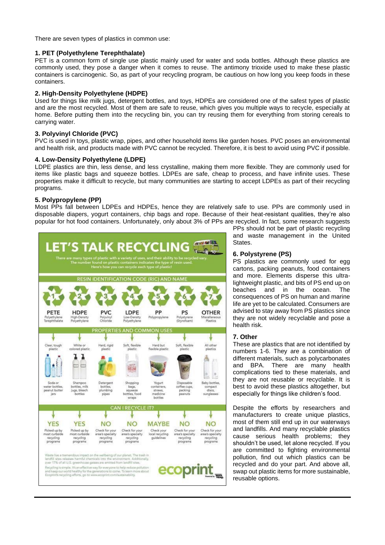There are seven types of plastics in common use:

## **1. PET (Polyethylene Terephthalate)**

PET is a common form of single use plastic mainly used for water and soda bottles. Although these plastics are commonly used, they pose a danger when it comes to reuse. The antimony trioxide used to make these plastic containers is carcinogenic. So, as part of your recycling program, be cautious on how long you keep foods in these containers.

# **2. High-Density Polyethylene (HDPE)**

Used for things like milk jugs, detergent bottles, and toys, HDPEs are considered one of the safest types of plastic and are the most recycled. Most of them are safe to reuse, which gives you multiple ways to recycle, especially at home. Before putting them into the recycling bin, you can try reusing them for everything from storing cereals to carrying water.

## **3. Polyvinyl Chloride (PVC)**

PVC is used in toys, plastic wrap, pipes, and other household items like garden hoses. PVC poses an environmental and health risk, and products made with PVC cannot be recycled. Therefore, it is best to avoid using PVC if possible.

## **4. Low-Density Polyethylene (LDPE)**

LDPE plastics are thin, less dense, and less crystalline, making them more flexible. They are commonly used for items like plastic bags and squeeze bottles. LDPEs are safe, cheap to process, and have infinite uses. These properties make it difficult to recycle, but many communities are starting to accept LDPEs as part of their recycling programs.

# **5. Polypropylene (PP)**

Most PPs fall between LDPEs and HDPEs, hence they are relatively safe to use. PPs are commonly used in disposable diapers, yogurt containers, chip bags and rope. Because of their heat-resistant qualities, they're also popular for hot food containers. Unfortunately, only about 3% of PPs are recycled. In fact, some research suggests



PPs should not be part of plastic recycling and waste management in the United States.

## **6. Polystyrene (PS)**

PS plastics are commonly used for egg cartons, packing peanuts, food containers and more. Elements disperse this ultralightweight plastic, and bits of PS end up on beaches and in the ocean. The consequences of PS on human and marine life are yet to be calculated. Consumers are advised to stay away from PS plastics since they are not widely recyclable and pose a health risk.

## **7. Other**

These are plastics that are not identified by numbers 1-6. They are a combination of different materials, such as polycarbonates and BPA. There are many health complications tied to these materials, and they are not reusable or recyclable. It is best to avoid these plastics altogether, but especially for things like children's food.

Despite the efforts by researchers and manufacturers to create unique plastics, most of them still end up in our waterways and landfills. And many recyclable plastics cause serious health problems; they shouldn't be used, let alone recycled. If you are committed to fighting environmental pollution, find out which plastics can be recycled and do your part. And above all, swap out plastic items for more sustainable, reusable options.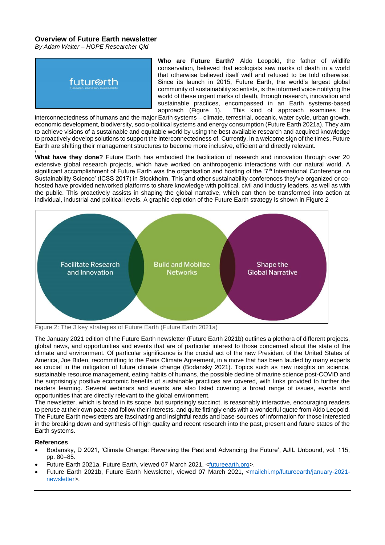# **Overview of Future Earth newsletter**

*By Adam Walter – HOPE Researcher Qld*



**Who are Future Earth?** Aldo Leopold, the father of wildlife conservation, believed that ecologists saw marks of death in a world that otherwise believed itself well and refused to be told otherwise. Since its launch in 2015, Future Earth, the world's largest global community of sustainability scientists, is the informed voice notifying the world of these urgent marks of death, through research, innovation and sustainable practices, encompassed in an Earth systems-based approach (Figure 1). This kind of approach examines the This kind of approach examines the

interconnectedness of humans and the major Earth systems – climate, terrestrial, oceanic, water cycle, urban growth, economic development, biodiversity, socio-political systems and energy consumption (Future Earth 2021a). They aim to achieve visions of a sustainable and equitable world by using the best available research and acquired knowledge to proactively develop solutions to support the interconnectedness of. Currently, in a welcome sign of the times, Future Earth are shifting their management structures to become more inclusive, efficient and directly relevant.

\<br>**What have they done?** Future Earth has embodied the facilitation of research and innovation through over 20 extensive global research projects, which have worked on anthropogenic interactions with our natural world. A significant accomplishment of Future Earth was the organisation and hosting of the '7<sup>th</sup> International Conference on Sustainability Science' (ICSS 2017) in Stockholm. This and other sustainability conferences they've organized or cohosted have provided networked platforms to share knowledge with political, civil and industry leaders, as well as with the public. This proactively assists in shaping the global narrative, which can then be transformed into action at individual, industrial and political levels. A graphic depiction of the Future Earth strategy is shown in Figure 2



Figure 2: The 3 key strategies of Future Earth (Future Earth 2021a)

The January 2021 edition of the Future Earth newsletter (Future Earth 2021b) outlines a plethora of different projects, global news, and opportunities and events that are of particular interest to those concerned about the state of the climate and environment. Of particular significance is the crucial act of the new President of the United States of America, Joe Biden, recommitting to the Paris Climate Agreement, in a move that has been lauded by many experts as crucial in the mitigation of future climate change (Bodansky 2021). Topics such as new insights on science, sustainable resource management, eating habits of humans, the possible decline of marine science post-COVID and the surprisingly positive economic benefits of sustainable practices are covered, with links provided to further the readers learning. Several webinars and events are also listed covering a broad range of issues, events and opportunities that are directly relevant to the global environment.

The newsletter, which is broad in its scope, but surprisingly succinct, is reasonably interactive, encouraging readers to peruse at their own pace and follow their interests, and quite fittingly ends with a wonderful quote from Aldo Leopold. The Future Earth newsletters are fascinating and insightful reads and base-sources of information for those interested in the breaking down and synthesis of high quality and recent research into the past, present and future states of the Earth systems.

## **References**

- Bodansky, D 2021, 'Climate Change: Reversing the Past and Advancing the Future', AJIL Unbound, vol. 115, pp. 80–85.
- Future Earth 2021a, Future Earth, viewed 07 March 2021, <futureearth.org>.
- Future Earth 2021b, Future Earth Newsletter, viewed 07 March 2021, <mailchi.mp/futureearth/january-2021 newsletter>.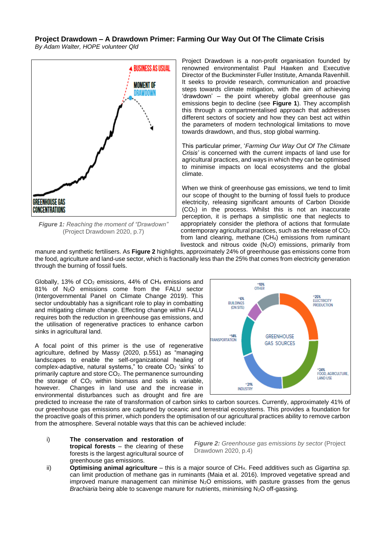# **Project Drawdown – A Drawdown Primer: Farming Our Way Out Of The Climate Crisis**

*By Adam Walter, HOPE volunteer Qld*



*Figure 1: Reaching the moment of "Drawdown"* (Project Drawdown 2020, p.7)

Project Drawdown is a non-profit organisation founded by renowned environmentalist Paul Hawken and Executive Director of the Buckminster Fuller Institute, Amanda Ravenhill. It seeks to provide research, communication and proactive steps towards climate mitigation, with the aim of achieving 'drawdown' – the point whereby global greenhouse gas emissions begin to decline (see **Figure 1**). They accomplish this through a compartmentalised approach that addresses different sectors of society and how they can best act within the parameters of modern technological limitations to move towards drawdown, and thus, stop global warming.

This particular primer, '*Farming Our Way Out Of The Climate Crisis'* is concerned with the current impacts of land use for agricultural practices, and ways in which they can be optimised to minimise impacts on local ecosystems and the global climate.

When we think of greenhouse gas emissions, we tend to limit our scope of thought to the burning of fossil fuels to produce electricity, releasing significant amounts of Carbon Dioxide (CO2) in the process. Whilst this is not an inaccurate perception, it is perhaps a simplistic one that neglects to appropriately consider the plethora of actions that formulate contemporary agricultural practices, such as the release of CO<sup>2</sup> from land clearing, methane (CH<sub>4</sub>) emissions from ruminant livestock and nitrous oxide  $(N_2O)$  emissions, primarily from

manure and synthetic fertilisers. As **Figure 2** highlights, approximately 24% of greenhouse gas emissions come from the food, agriculture and land-use sector, which is fractionally less than the 25% that comes from electricity generation through the burning of fossil fuels.

Globally, 13% of  $CO<sub>2</sub>$  emissions, 44% of CH<sub>4</sub> emissions and 81% of N2O emissions come from the FALU sector (Intergovernmental Panel on Climate Change 2019). This sector undoubtably has a significant role to play in combatting and mitigating climate change. Effecting change within FALU requires both the reduction in greenhouse gas emissions, and the utilisation of regenerative practices to enhance carbon sinks in agricultural land.

A focal point of this primer is the use of regenerative agriculture, defined by Massy (2020, p.551) as "managing landscapes to enable the self-organizational healing of complex-adaptive, natural systems," to create CO<sub>2</sub> 'sinks' to primarily capture and store CO2. The permanence surrounding the storage of  $CO<sub>2</sub>$  within biomass and soils is variable, however. Changes in land use and the increase in environmental disturbances such as drought and fire are



predicted to increase the rate of transformation of carbon sinks to carbon sources. Currently, approximately 41% of our greenhouse gas emissions are captured by oceanic and terrestrial ecosystems. This provides a foundation for the proactive goals of this primer, which ponders the optimisation of our agricultural practices ability to remove carbon from the atmosphere. Several notable ways that this can be achieved include:

i) **The conservation and restoration of tropical forests** – the clearing of these forests is the largest agricultural source of greenhouse gas emissions.

*Figure 2: Greenhouse gas emissions by sector* (Project Drawdown 2020, p.4)

ii) **Optimising animal agriculture** – this is a major source of CH4. Feed additives such as *Gigartina sp.* can limit production of methane gas in ruminants (Maia et al. 2016). Improved vegetative spread and improved manure management can minimise  $N_2O$  emissions, with pasture grasses from the genus *Brachiaria* being able to scavenge manure for nutrients, minimising N<sub>2</sub>O off-gassing.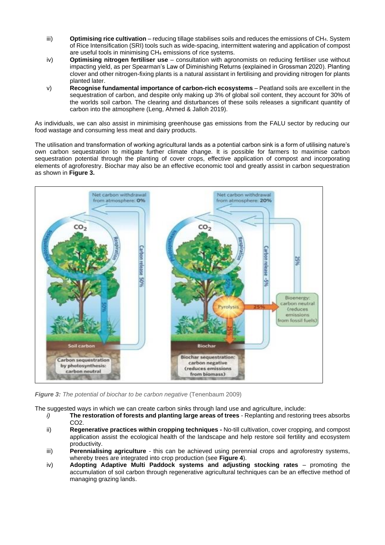- iii) **Optimising rice cultivation** reducing tillage stabilises soils and reduces the emissions of CH4. System of Rice Intensification (SRI) tools such as wide-spacing, intermittent watering and application of compost are useful tools in minimising CH<sup>4</sup> emissions of rice systems.
- iv) **Optimising nitrogen fertiliser use** consultation with agronomists on reducing fertiliser use without impacting yield, as per Spearman's Law of Diminishing Returns (explained in Grossman 2020). Planting clover and other nitrogen-fixing plants is a natural assistant in fertilising and providing nitrogen for plants planted later.
- v) **Recognise fundamental importance of carbon-rich ecosystems** Peatland soils are excellent in the sequestration of carbon, and despite only making up 3% of global soil content, they account for 30% of the worlds soil carbon. The clearing and disturbances of these soils releases a significant quantity of carbon into the atmosphere (Leng, Ahmed & Jalloh 2019).

As individuals, we can also assist in minimising greenhouse gas emissions from the FALU sector by reducing our food wastage and consuming less meat and dairy products.

The utilisation and transformation of working agricultural lands as a potential carbon sink is a form of utilising nature's own carbon sequestration to mitigate further climate change. It is possible for farmers to maximise carbon sequestration potential through the planting of cover crops, effective application of compost and incorporating elements of agroforestry. Biochar may also be an effective economic tool and greatly assist in carbon sequestration as shown in **Figure 3.** 



*Figure 3: The potential of biochar to be carbon negative (Tenenbaum 2009)* 

The suggested ways in which we can create carbon sinks through land use and agriculture, include:

- *i)* **The restoration of forests and planting large areas of trees** Replanting and restoring trees absorbs CO2.
- ii) **Regenerative practices within cropping techniques -** No-till cultivation, cover cropping, and compost application assist the ecological health of the landscape and help restore soil fertility and ecosystem productivity.
- iii) **Perennialising agriculture** *-* this can be achieved using perennial crops and agroforestry systems, whereby trees are integrated into crop production (see **Figure 4**).
- iv) **Adopting Adaptive Multi Paddock systems and adjusting stocking rates** promoting the accumulation of soil carbon through regenerative agricultural techniques can be an effective method of managing grazing lands.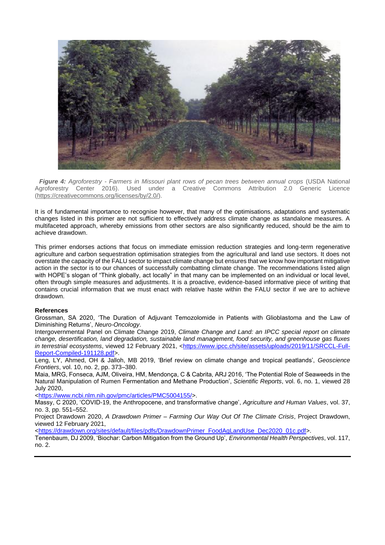

 *Figure 4: Agroforestry - Farmers in Missouri plant rows of pecan trees between annual crops* (USDA National Agroforestry Center 2016). Used under a Creative Commons Attribution 2.0 Generic Licence [\(https://creativecommons.org/licenses/by/2.0/\)](https://creativecommons.org/licenses/by/2.0/).

It is of fundamental importance to recognise however, that many of the optimisations, adaptations and systematic changes listed in this primer are not sufficient to effectively address climate change as standalone measures. A multifaceted approach, whereby emissions from other sectors are also significantly reduced, should be the aim to achieve drawdown.

This primer endorses actions that focus on immediate emission reduction strategies and long-term regenerative agriculture and carbon sequestration optimisation strategies from the agricultural and land use sectors. It does not overstate the capacity of the FALU sector to impact climate change but ensures that we know how important mitigative action in the sector is to our chances of successfully combatting climate change. The recommendations listed align with HOPE's slogan of "Think globally, act locally" in that many can be implemented on an individual or local level, often through simple measures and adjustments. It is a proactive, evidence-based informative piece of writing that contains crucial information that we must enact with relative haste within the FALU sector if we are to achieve drawdown.

#### **References**

Grossman, SA 2020, 'The Duration of Adjuvant Temozolomide in Patients with Glioblastoma and the Law of Diminishing Returns', *Neuro-Oncology*.

Intergovernmental Panel on Climate Change 2019, *Climate Change and Land: an IPCC special report on climate change, desertification, land degradation, sustainable land management, food security, and greenhouse gas fluxes in terrestrial ecosystems*, viewed 12 February 2021, [<https://www.ipcc.ch/site/assets/uploads/2019/11/SRCCL-Full-](https://www.ipcc.ch/site/assets/uploads/2019/11/SRCCL-Full-Report-Compiled-191128.pdf)[Report-Compiled-191128.pdf>](https://www.ipcc.ch/site/assets/uploads/2019/11/SRCCL-Full-Report-Compiled-191128.pdf).

Leng, LY, Ahmed, OH & Jalloh, MB 2019, 'Brief review on climate change and tropical peatlands', *Geoscience Frontiers*, vol. 10, no. 2, pp. 373–380.

Maia, MRG, Fonseca, AJM, Oliveira, HM, Mendonça, C & Cabrita, ARJ 2016, 'The Potential Role of Seaweeds in the Natural Manipulation of Rumen Fermentation and Methane Production', *Scientific Reports*, vol. 6, no. 1, viewed 28 July 2020,

[<https://www.ncbi.nlm.nih.gov/pmc/articles/PMC5004155/>](https://www.ncbi.nlm.nih.gov/pmc/articles/PMC5004155/).

Massy, C 2020, 'COVID-19, the Anthropocene, and transformative change', *Agriculture and Human Values*, vol. 37, no. 3, pp. 551–552.

Project Drawdown 2020, *A Drawdown Primer – Farming Our Way Out Of The Climate Crisis*, Project Drawdown, viewed 12 February 2021,

[<https://drawdown.org/sites/default/files/pdfs/DrawdownPrimer\\_FoodAgLandUse\\_Dec2020\\_01c.pdf>](https://drawdown.org/sites/default/files/pdfs/DrawdownPrimer_FoodAgLandUse_Dec2020_01c.pdf).

Tenenbaum, DJ 2009, 'Biochar: Carbon Mitigation from the Ground Up', *Environmental Health Perspectives*, vol. 117, no. 2.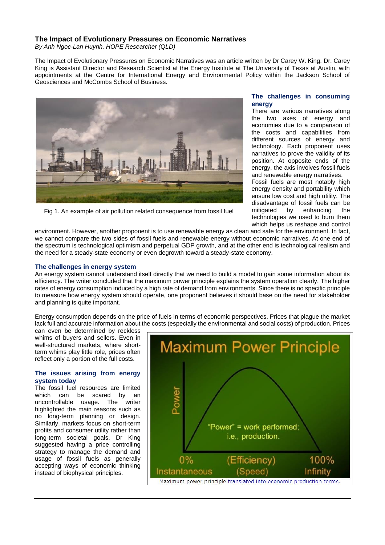# **The Impact of Evolutionary Pressures on Economic Narratives**

*By Anh Ngoc-Lan Huynh, HOPE Researcher (QLD)*

The Impact of Evolutionary Pressures on Economic Narratives was an article written by Dr Carey W. King. Dr. Carey King is Assistant Director and Research Scientist at the Energy Institute at The University of Texas at Austin, with appointments at the Centre for International Energy and Environmental Policy within the Jackson School of Geosciences and McCombs School of Business.



Fig 1. An example of air pollution related consequence from fossil fuel

# **The challenges in consuming energy**

There are various narratives along the two axes of energy and economies due to a comparison of the costs and capabilities from different sources of energy and technology. Each proponent uses narratives to prove the validity of its position. At opposite ends of the energy, the axis involves fossil fuels and renewable energy narratives.

Fossil fuels are most notably high energy density and portability which ensure low cost and high utility. The disadvantage of fossil fuels can be<br>mitigated by enhancing the enhancing the technologies we used to burn them which helps us reshape and control

environment. However, another proponent is to use renewable energy as clean and safe for the environment. In fact, we cannot compare the two sides of fossil fuels and renewable energy without economic narratives. At one end of the spectrum is technological optimism and perpetual GDP growth, and at the other end is technological realism and the need for a steady-state economy or even degrowth toward a steady-state economy.

## **The challenges in energy system**

An energy system cannot understand itself directly that we need to build a model to gain some information about its efficiency. The writer concluded that the maximum power principle explains the system operation clearly. The higher rates of energy consumption induced by a high rate of demand from environments. Since there is no specific principle to measure how energy system should operate, one proponent believes it should base on the need for stakeholder and planning is quite important.

Energy consumption depends on the price of fuels in terms of economic perspectives. Prices that plague the market lack full and accurate information about the costs (especially the environmental and social costs) of production. Prices

can even be determined by reckless whims of buyers and sellers. Even in well-structured markets, where shortterm whims play little role, prices often reflect only a portion of the full costs.

#### **The issues arising from energy system today**

The fossil fuel resources are limited which can be scared by an uncontrollable usage. The writer highlighted the main reasons such as no long-term planning or design. Similarly, markets focus on short-term profits and consumer utility rather than long-term societal goals. Dr King suggested having a price controlling strategy to manage the demand and usage of fossil fuels as generally accepting ways of economic thinking instead of biophysical principles.

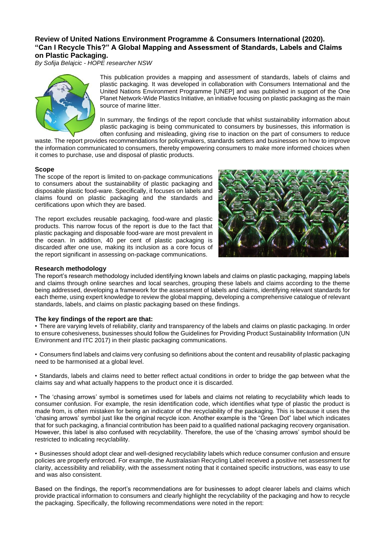# **Review of United Nations Environment Programme & Consumers International (2020). "Can I Recycle This?" A Global Mapping and Assessment of Standards, Labels and Claims on Plastic Packaging.**

*By Sofija Belajcic - HOPE researcher NSW*



This publication provides a mapping and assessment of standards, labels of claims and plastic packaging. It was developed in collaboration with Consumers International and the United Nations Environment Programme [UNEP] and was published in support of the One Planet Network-Wide Plastics Initiative, an initiative focusing on plastic packaging as the main source of marine litter.

In summary, the findings of the report conclude that whilst sustainability information about plastic packaging is being communicated to consumers by businesses, this information is often confusing and misleading, giving rise to inaction on the part of consumers to reduce

waste. The report provides recommendations for policymakers, standards setters and businesses on how to improve the information communicated to consumers, thereby empowering consumers to make more informed choices when it comes to purchase, use and disposal of plastic products.

#### **Scope**

The scope of the report is limited to on-package communications to consumers about the sustainability of plastic packaging and disposable plastic food-ware. Specifically, it focuses on labels and claims found on plastic packaging and the standards and certifications upon which they are based.

The report excludes reusable packaging, food-ware and plastic products. This narrow focus of the report is due to the fact that plastic packaging and disposable food-ware are most prevalent in the ocean. In addition, 40 per cent of plastic packaging is discarded after one use, making its inclusion as a core focus of the report significant in assessing on-package communications.



## **Research methodology**

The report's research methodology included identifying known labels and claims on plastic packaging, mapping labels and claims through online searches and local searches, grouping these labels and claims according to the theme being addressed, developing a framework for the assessment of labels and claims, identifying relevant standards for each theme, using expert knowledge to review the global mapping, developing a comprehensive catalogue of relevant standards, labels, and claims on plastic packaging based on these findings.

## **The key findings of the report are that:**

• There are varying levels of reliability, clarity and transparency of the labels and claims on plastic packaging. In order to ensure cohesiveness, businesses should follow the Guidelines for Providing Product Sustainability Information (UN Environment and ITC 2017) in their plastic packaging communications.

• Consumers find labels and claims very confusing so definitions about the content and reusability of plastic packaging need to be harmonised at a global level.

• Standards, labels and claims need to better reflect actual conditions in order to bridge the gap between what the claims say and what actually happens to the product once it is discarded.

• The 'chasing arrows' symbol is sometimes used for labels and claims not relating to recyclability which leads to consumer confusion. For example, the resin identification code, which identifies what type of plastic the product is made from, is often mistaken for being an indicator of the recyclability of the packaging. This is because it uses the 'chasing arrows' symbol just like the original recycle icon. Another example is the "Green Dot" label which indicates that for such packaging, a financial contribution has been paid to a qualified national packaging recovery organisation. However, this label is also confused with recyclability. Therefore, the use of the 'chasing arrows' symbol should be restricted to indicating recyclability.

• Businesses should adopt clear and well-designed recyclability labels which reduce consumer confusion and ensure policies are properly enforced. For example, the Australasian Recycling Label received a positive net assessment for clarity, accessibility and reliability, with the assessment noting that it contained specific instructions, was easy to use and was also consistent.

Based on the findings, the report's recommendations are for businesses to adopt clearer labels and claims which provide practical information to consumers and clearly highlight the recyclability of the packaging and how to recycle the packaging. Specifically, the following recommendations were noted in the report: